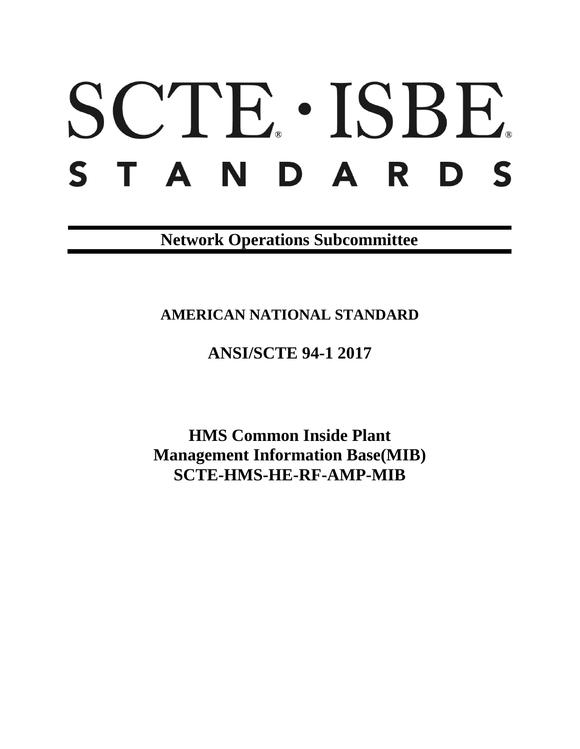# SCTE · ISBE. STANDARDS

**Network Operations Subcommittee**

**AMERICAN NATIONAL STANDARD**

# **ANSI/SCTE 94-1 2017**

**HMS Common Inside Plant Management Information Base(MIB) SCTE-HMS-HE-RF-AMP-MIB**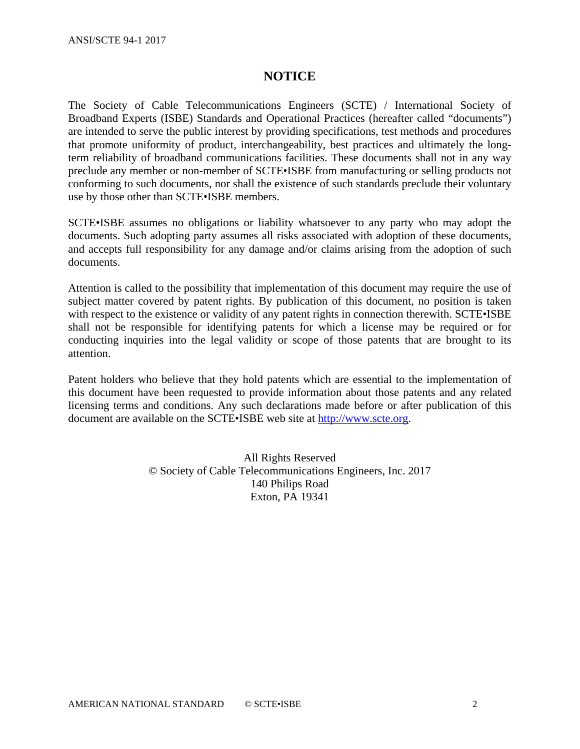## **NOTICE**

The Society of Cable Telecommunications Engineers (SCTE) / International Society of Broadband Experts (ISBE) Standards and Operational Practices (hereafter called "documents") are intended to serve the public interest by providing specifications, test methods and procedures that promote uniformity of product, interchangeability, best practices and ultimately the longterm reliability of broadband communications facilities. These documents shall not in any way preclude any member or non-member of SCTE•ISBE from manufacturing or selling products not conforming to such documents, nor shall the existence of such standards preclude their voluntary use by those other than SCTE•ISBE members.

SCTE•ISBE assumes no obligations or liability whatsoever to any party who may adopt the documents. Such adopting party assumes all risks associated with adoption of these documents, and accepts full responsibility for any damage and/or claims arising from the adoption of such documents.

Attention is called to the possibility that implementation of this document may require the use of subject matter covered by patent rights. By publication of this document, no position is taken with respect to the existence or validity of any patent rights in connection therewith. SCTE•ISBE shall not be responsible for identifying patents for which a license may be required or for conducting inquiries into the legal validity or scope of those patents that are brought to its attention.

Patent holders who believe that they hold patents which are essential to the implementation of this document have been requested to provide information about those patents and any related licensing terms and conditions. Any such declarations made before or after publication of this document are available on the SCTE•ISBE web site at [http://www.scte.org.](http://www.scte.org/)

> All Rights Reserved © Society of Cable Telecommunications Engineers, Inc. 2017 140 Philips Road Exton, PA 19341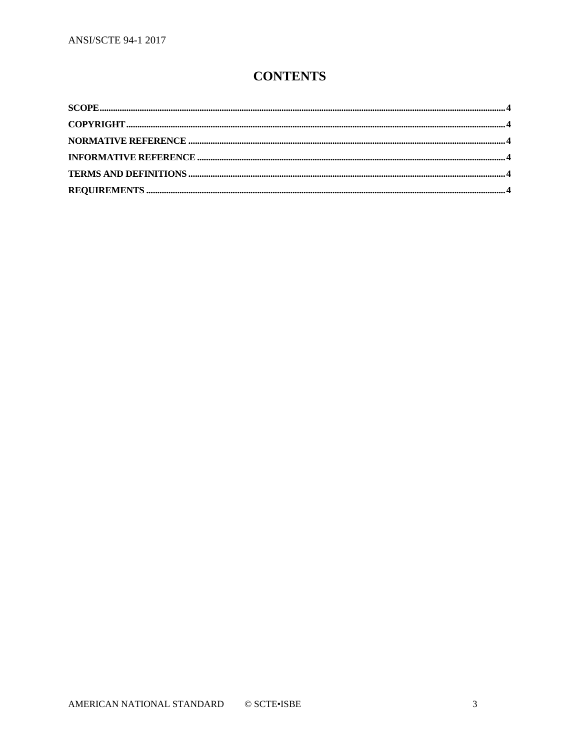# **CONTENTS**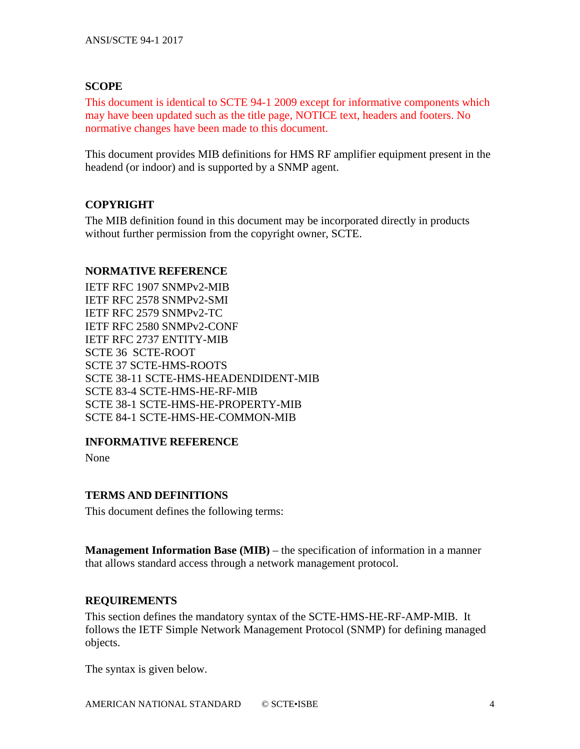### <span id="page-3-0"></span>**SCOPE**

This document is identical to SCTE 94-1 2009 except for informative components which may have been updated such as the title page, NOTICE text, headers and footers. No normative changes have been made to this document.

This document provides MIB definitions for HMS RF amplifier equipment present in the headend (or indoor) and is supported by a SNMP agent.

### <span id="page-3-1"></span>**COPYRIGHT**

The MIB definition found in this document may be incorporated directly in products without further permission from the copyright owner, SCTE.

#### <span id="page-3-2"></span>**NORMATIVE REFERENCE**

IETF RFC 1907 SNMPv2-MIB IETF RFC 2578 SNMPv2-SMI IETF RFC 2579 SNMPv2-TC IETF RFC 2580 SNMPv2-CONF IETF RFC 2737 ENTITY-MIB SCTE 36 SCTE-ROOT SCTE 37 SCTE-HMS-ROOTS SCTE 38-11 SCTE-HMS-HEADENDIDENT-MIB SCTE 83-4 SCTE-HMS-HE-RF-MIB SCTE 38-1 SCTE-HMS-HE-PROPERTY-MIB SCTE 84-1 SCTE-HMS-HE-COMMON-MIB

### <span id="page-3-3"></span>**INFORMATIVE REFERENCE**

None

## <span id="page-3-4"></span>**TERMS AND DEFINITIONS**

This document defines the following terms:

**Management Information Base (MIB)** – the specification of information in a manner that allows standard access through a network management protocol.

### <span id="page-3-5"></span>**REQUIREMENTS**

This section defines the mandatory syntax of the SCTE-HMS-HE-RF-AMP-MIB. It follows the IETF Simple Network Management Protocol (SNMP) for defining managed objects.

The syntax is given below.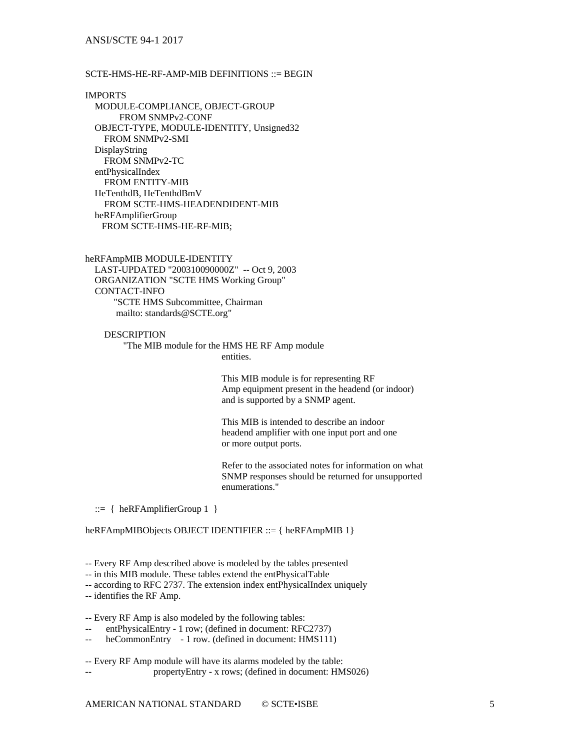#### ANSI/SCTE 94-1 2017

#### SCTE-HMS-HE-RF-AMP-MIB DEFINITIONS ::= BEGIN

IMPORTS MODULE-COMPLIANCE, OBJECT-GROUP FROM SNMPv2-CONF OBJECT-TYPE, MODULE-IDENTITY, Unsigned32 FROM SNMPv2-SMI DisplayString FROM SNMPv2-TC entPhysicalIndex FROM ENTITY-MIB HeTenthdB, HeTenthdBmV FROM SCTE-HMS-HEADENDIDENT-MIB heRFAmplifierGroup FROM SCTE-HMS-HE-RF-MIB;

heRFAmpMIB MODULE-IDENTITY LAST-UPDATED "200310090000Z" -- Oct 9, 2003 ORGANIZATION "SCTE HMS Working Group" CONTACT-INFO "SCTE HMS Subcommittee, Chairman mailto: standards@SCTE.org"

**DESCRIPTION**  "The MIB module for the HMS HE RF Amp module entities.

> This MIB module is for representing RF Amp equipment present in the headend (or indoor) and is supported by a SNMP agent.

This MIB is intended to describe an indoor headend amplifier with one input port and one or more output ports.

Refer to the associated notes for information on what SNMP responses should be returned for unsupported enumerations."

::= { heRFAmplifierGroup 1 }

heRFAmpMIBObjects OBJECT IDENTIFIER ::= { heRFAmpMIB 1}

-- Every RF Amp described above is modeled by the tables presented

-- in this MIB module. These tables extend the entPhysicalTable

-- according to RFC 2737. The extension index entPhysicalIndex uniquely

-- identifies the RF Amp.

-- Every RF Amp is also modeled by the following tables:

entPhysicalEntry - 1 row; (defined in document: RFC2737)

-- heCommonEntry - 1 row. (defined in document: HMS111)

-- Every RF Amp module will have its alarms modeled by the table: -- propertyEntry - x rows; (defined in document: HMS026)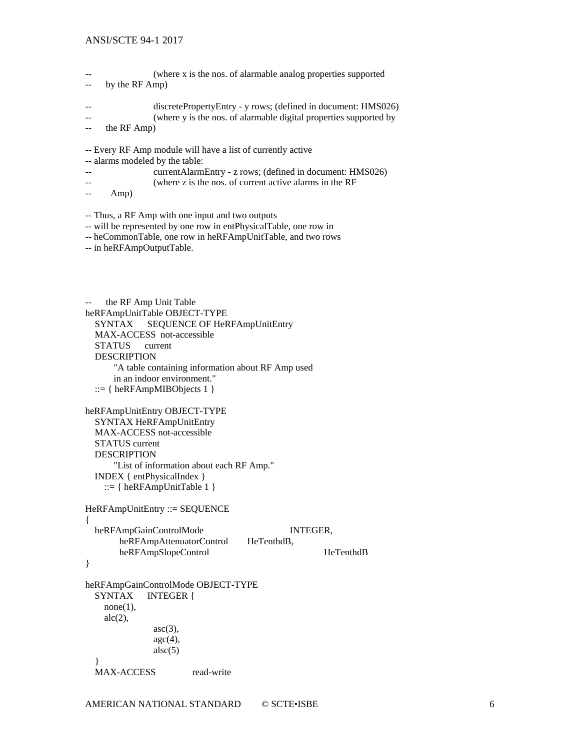#### ANSI/SCTE 94-1 2017

```
(where x is the nos. of alarmable analog properties supported
-- by the RF Amp)
-- discretePropertyEntry - y rows; (defined in document: HMS026)
-- (where y is the nos. of alarmable digital properties supported by 
-- the RF Amp)
-- Every RF Amp module will have a list of currently active 
-- alarms modeled by the table:
-- currentAlarmEntry - z rows; (defined in document: HMS026)
-- (where z is the nos. of current active alarms in the RF 
-- Amp)
-- Thus, a RF Amp with one input and two outputs 
-- will be represented by one row in entPhysicalTable, one row in 
-- heCommonTable, one row in heRFAmpUnitTable, and two rows
-- in heRFAmpOutputTable.
    the RF Amp Unit Table
heRFAmpUnitTable OBJECT-TYPE
   SYNTAX SEQUENCE OF HeRFAmpUnitEntry
   MAX-ACCESS not-accessible
   STATUS current
   DESCRIPTION
       "A table containing information about RF Amp used
       in an indoor environment."
   ::= \{ \text{heRFAmpMIBObjects} \}heRFAmpUnitEntry OBJECT-TYPE
   SYNTAX HeRFAmpUnitEntry
   MAX-ACCESS not-accessible
   STATUS current
   DESCRIPTION
       "List of information about each RF Amp."
   INDEX { entPhysicalIndex }
    ::= \{ \text{heRFAmpUnitTable 1} \}HeRFAmpUnitEntry ::= SEQUENCE
{
   heRFAmpGainControlMode INTEGER,
       heRFAmpAttenuatorControl HeTenthdB,
       heRFAmpSlopeControl HeTenthdB
}
heRFAmpGainControlMode OBJECT-TYPE
   SYNTAX INTEGER {
    none(1),
    alc(2),
               asc(3),
               \text{age}(4),
               \text{alsc}(5) }
  MAX-ACCESS read-write
```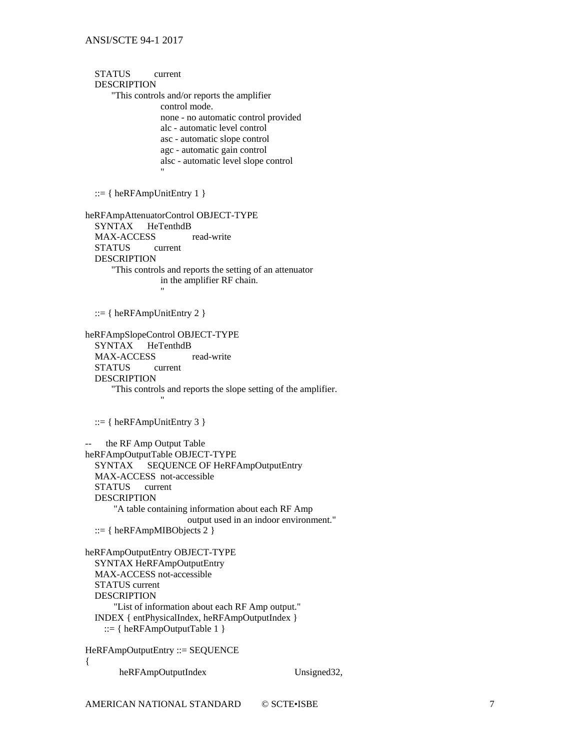STATUS current DESCRIPTION "This controls and/or reports the amplifier control mode. none - no automatic control provided alc - automatic level control asc - automatic slope control agc - automatic gain control alsc - automatic level slope control " ::=  $\{heRFAmpUnitEntry 1\}$ heRFAmpAttenuatorControl OBJECT-TYPE SYNTAX HeTenthdB MAX-ACCESS read-write STATUS current DESCRIPTION "This controls and reports the setting of an attenuator in the amplifier RF chain. " ::= { heRFAmpUnitEntry 2 } heRFAmpSlopeControl OBJECT-TYPE SYNTAX HeTenthdB MAX-ACCESS read-write STATUS current DESCRIPTION "This controls and reports the slope setting of the amplifier. "  $::= \{ \text{heRFAmpUnitEntry 3 } \}$ the RF Amp Output Table heRFAmpOutputTable OBJECT-TYPE SYNTAX SEQUENCE OF HeRFAmpOutputEntry MAX-ACCESS not-accessible STATUS current DESCRIPTION "A table containing information about each RF Amp output used in an indoor environment." ::= { heRFAmpMIBObjects 2 } heRFAmpOutputEntry OBJECT-TYPE SYNTAX HeRFAmpOutputEntry MAX-ACCESS not-accessible STATUS current DESCRIPTION "List of information about each RF Amp output." INDEX { entPhysicalIndex, heRFAmpOutputIndex } ::= { heRFAmpOutputTable 1 } HeRFAmpOutputEntry ::= SEQUENCE

{

heRFAmpOutputIndex Unsigned32,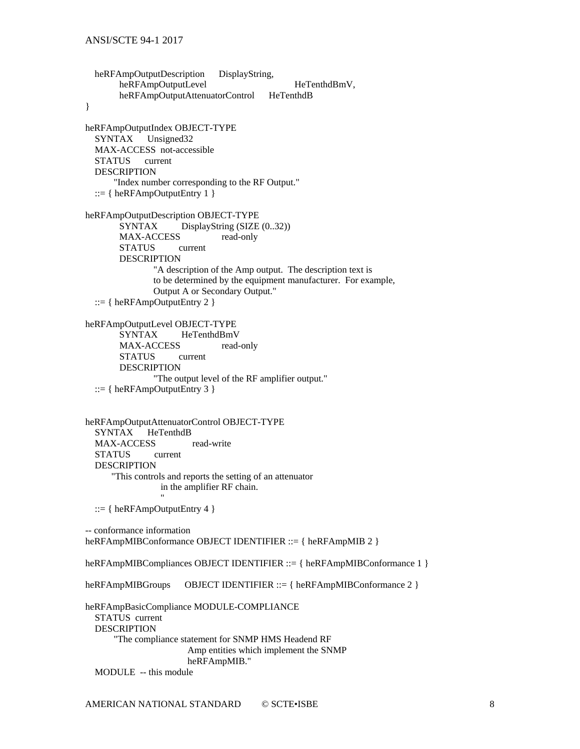heRFAmpOutputDescription DisplayString, heRFAmpOutputLevel HeTenthdBmV, heRFAmpOutputAttenuatorControl HeTenthdB } heRFAmpOutputIndex OBJECT-TYPE SYNTAX Unsigned32 MAX-ACCESS not-accessible STATUS current DESCRIPTION "Index number corresponding to the RF Output." ::=  $\{ \text{heRFAmpOutputEntry 1 } \}$ heRFAmpOutputDescription OBJECT-TYPE SYNTAX DisplayString (SIZE  $(0..32)$ ) MAX-ACCESS read-only STATUS current DESCRIPTION "A description of the Amp output. The description text is to be determined by the equipment manufacturer. For example, Output A or Secondary Output." ::=  $\{ \text{heRFAmpOutputEntry 2 } \}$ heRFAmpOutputLevel OBJECT-TYPE SYNTAX HeTenthdBmV MAX-ACCESS read-only STATUS current DESCRIPTION "The output level of the RF amplifier output."  $::= \{ \text{heRFAmpOutputEntry 3 } \}$ heRFAmpOutputAttenuatorControl OBJECT-TYPE SYNTAX HeTenthdB MAX-ACCESS read-write STATUS current DESCRIPTION "This controls and reports the setting of an attenuator in the amplifier RF chain. " ::=  $\{ \text{heRFAmpOutputEntry 4 } \}$ -- conformance information heRFAmpMIBConformance OBJECT IDENTIFIER ::= { heRFAmpMIB 2 } heRFAmpMIBCompliances OBJECT IDENTIFIER ::= { heRFAmpMIBConformance 1 } heRFAmpMIBGroups OBJECT IDENTIFIER ::= { heRFAmpMIBConformance 2 } heRFAmpBasicCompliance MODULE-COMPLIANCE STATUS current DESCRIPTION "The compliance statement for SNMP HMS Headend RF Amp entities which implement the SNMP heRFAmpMIB."

MODULE -- this module